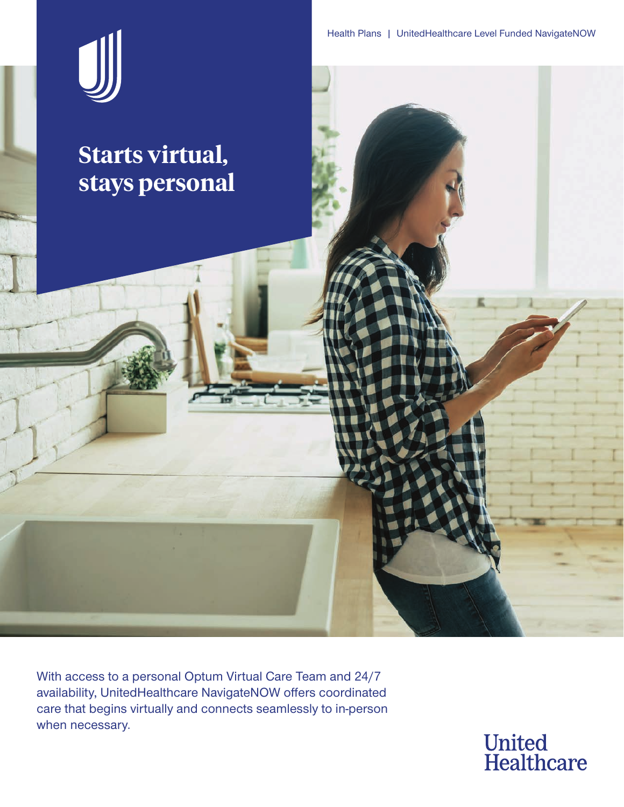

With access to a personal Optum Virtual Care Team and 24/7 availability, UnitedHealthcare NavigateNOW offers coordinated care that begins virtually and connects seamlessly to in-person when necessary.

**United<br>Healthcare**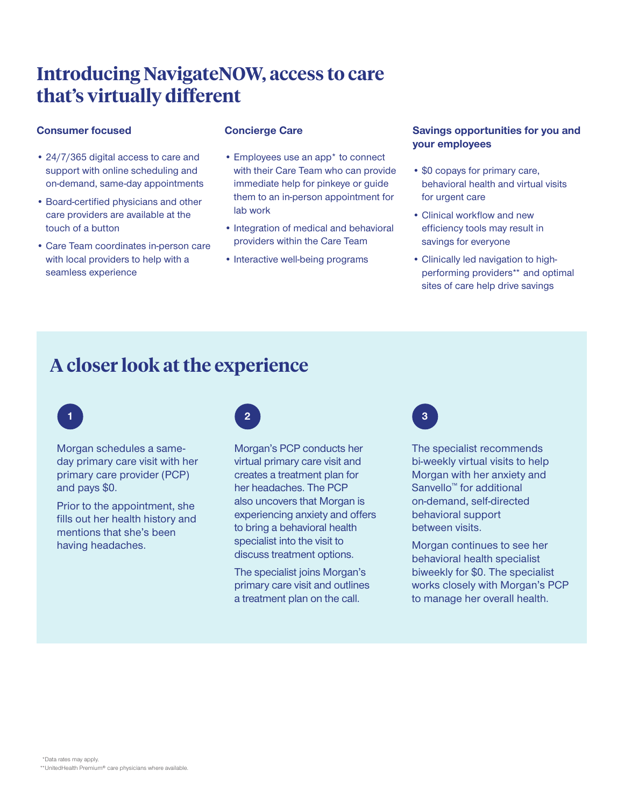# **Introducing NavigateNOW, access to care that's virtually different**

#### **Consumer focused**

- 24/7/365 digital access to care and support with online scheduling and on-demand, same-day appointments
- Board-certified physicians and other care providers are available at the touch of a button
- Care Team coordinates in-person care with local providers to help with a seamless experience

#### **Concierge Care**

- Employees use an app\* to connect with their Care Team who can provide immediate help for pinkeye or guide them to an in-person appointment for lab work
- Integration of medical and behavioral providers within the Care Team
- Interactive well-being programs

#### **Savings opportunities for you and your employees**

- \$0 copays for primary care, behavioral health and virtual visits for urgent care
- Clinical workflow and new efficiency tools may result in savings for everyone
- Clinically led navigation to highperforming providers\*\* and optimal sites of care help drive savings

# **A closer look at the experience**



Morgan schedules a sameday primary care visit with her primary care provider (PCP) and pays \$0.

Prior to the appointment, she fills out her health history and mentions that she's been having headaches.



Morgan's PCP conducts her virtual primary care visit and creates a treatment plan for her headaches. The PCP also uncovers that Morgan is experiencing anxiety and offers to bring a behavioral health specialist into the visit to discuss treatment options.

The specialist joins Morgan's primary care visit and outlines a treatment plan on the call.



The specialist recommends bi-weekly virtual visits to help Morgan with her anxiety and Sanvello™ for additional on-demand, self-directed behavioral support between visits.

Morgan continues to see her behavioral health specialist biweekly for \$0. The specialist works closely with Morgan's PCP to manage her overall health.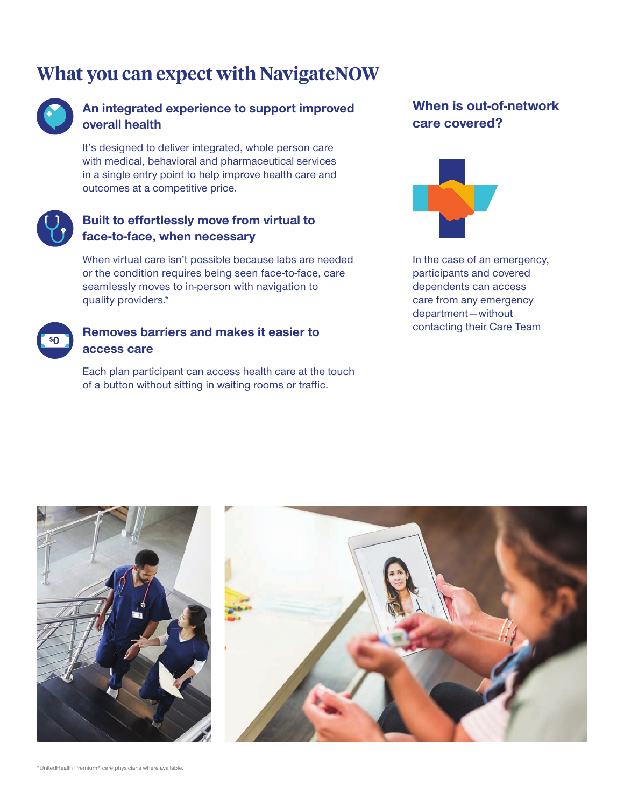# **What you can expect with NavigateNOW**



## **An integrated experience to support improved overall health**

It's designed to deliver integrated, whole person care with medical, behavioral and pharmaceutical services in a single entry point to help improve health care and outcomes at a competitive price.



## **Built to effortlessly move from virtual to face-to-face, when necessary**

When virtual care isn't possible because labs are needed or the condition requires being seen face-to-face, care seamlessly moves to in-person with navigation to quality providers.\*

| s' |  |
|----|--|
|    |  |
|    |  |

### **Removes barriers and makes it easier to access care**

Each plan participant can access health care at the touch of a button without sitting in waiting rooms or traffic.

# **When is out-of-network care covered?**



In the case of an emergency, participants and covered dependents can access care from any emergency department—without contacting their Care Team